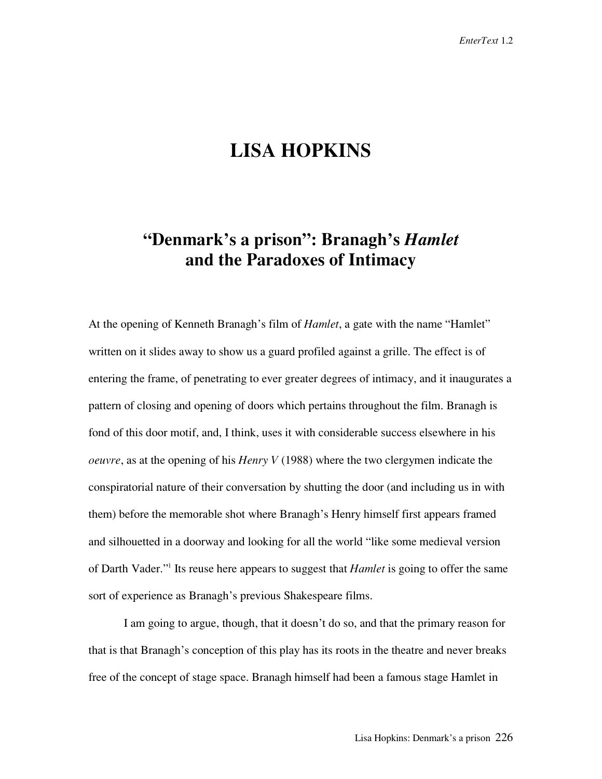## **LISA HOPKINS**

## **"Denmark's a prison": Branagh's** *Hamlet* **and the Paradoxes of Intimacy**

At the opening of Kenneth Branagh's film of *Hamlet*, a gate with the name "Hamlet" written on it slides away to show us a guard profiled against a grille. The effect is of entering the frame, of penetrating to ever greater degrees of intimacy, and it inaugurates a pattern of closing and opening of doors which pertains throughout the film. Branagh is fond of this door motif, and, I think, uses it with considerable success elsewhere in his *oeuvre*, as at the opening of his *Henry V* (1988) where the two clergymen indicate the conspiratorial nature of their conversation by shutting the door (and including us in with them) before the memorable shot where Branagh's Henry himself first appears framed and silhouetted in a doorway and looking for all the world "like some medieval version of Darth Vader."1 Its reuse here appears to suggest that *Hamlet* is going to offer the same sort of experience as Branagh's previous Shakespeare films.

I am going to argue, though, that it doesn't do so, and that the primary reason for that is that Branagh's conception of this play has its roots in the theatre and never breaks free of the concept of stage space. Branagh himself had been a famous stage Hamlet in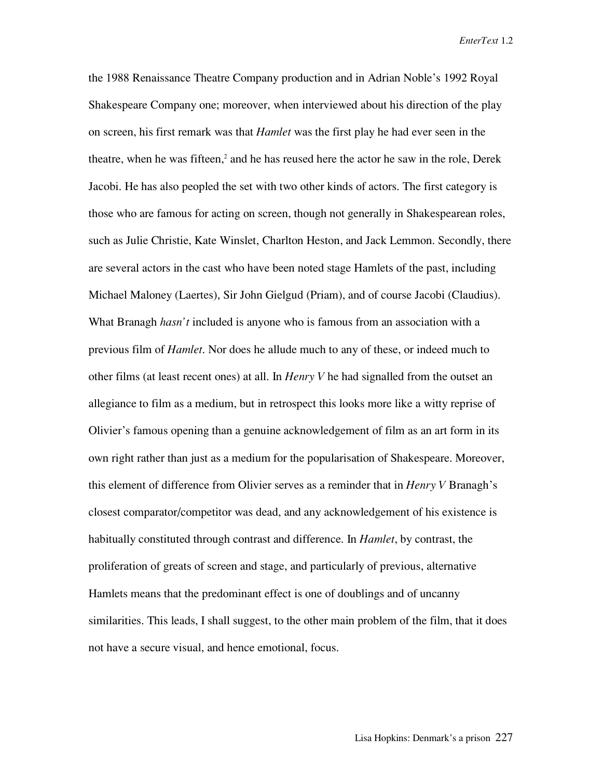the 1988 Renaissance Theatre Company production and in Adrian Noble's 1992 Royal Shakespeare Company one; moreover, when interviewed about his direction of the play on screen, his first remark was that *Hamlet* was the first play he had ever seen in the theatre, when he was fifteen,<sup>2</sup> and he has reused here the actor he saw in the role, Derek Jacobi. He has also peopled the set with two other kinds of actors. The first category is those who are famous for acting on screen, though not generally in Shakespearean roles, such as Julie Christie, Kate Winslet, Charlton Heston, and Jack Lemmon. Secondly, there are several actors in the cast who have been noted stage Hamlets of the past, including Michael Maloney (Laertes), Sir John Gielgud (Priam), and of course Jacobi (Claudius). What Branagh *hasn't* included is anyone who is famous from an association with a previous film of *Hamlet*. Nor does he allude much to any of these, or indeed much to other films (at least recent ones) at all. In *Henry V* he had signalled from the outset an allegiance to film as a medium, but in retrospect this looks more like a witty reprise of Olivier's famous opening than a genuine acknowledgement of film as an art form in its own right rather than just as a medium for the popularisation of Shakespeare. Moreover, this element of difference from Olivier serves as a reminder that in *Henry V* Branagh's closest comparator/competitor was dead, and any acknowledgement of his existence is habitually constituted through contrast and difference. In *Hamlet*, by contrast, the proliferation of greats of screen and stage, and particularly of previous, alternative Hamlets means that the predominant effect is one of doublings and of uncanny similarities. This leads, I shall suggest, to the other main problem of the film, that it does not have a secure visual, and hence emotional, focus.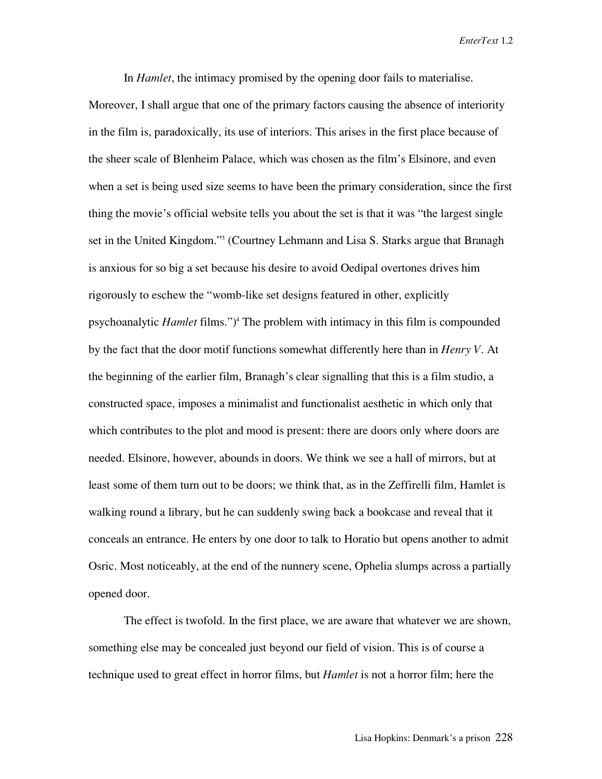In *Hamlet*, the intimacy promised by the opening door fails to materialise. Moreover, I shall argue that one of the primary factors causing the absence of interiority in the film is, paradoxically, its use of interiors. This arises in the first place because of the sheer scale of Blenheim Palace, which was chosen as the film's Elsinore, and even when a set is being used size seems to have been the primary consideration, since the first thing the movie's official website tells you about the set is that it was "the largest single set in the United Kingdom."<sup>3</sup> (Courtney Lehmann and Lisa S. Starks argue that Branagh is anxious for so big a set because his desire to avoid Oedipal overtones drives him rigorously to eschew the "womb-like set designs featured in other, explicitly psychoanalytic *Hamlet* films.")4 The problem with intimacy in this film is compounded by the fact that the door motif functions somewhat differently here than in *Henry V*. At the beginning of the earlier film, Branagh's clear signalling that this is a film studio, a constructed space, imposes a minimalist and functionalist aesthetic in which only that which contributes to the plot and mood is present: there are doors only where doors are needed. Elsinore, however, abounds in doors. We think we see a hall of mirrors, but at least some of them turn out to be doors; we think that, as in the Zeffirelli film, Hamlet is walking round a library, but he can suddenly swing back a bookcase and reveal that it conceals an entrance. He enters by one door to talk to Horatio but opens another to admit Osric. Most noticeably, at the end of the nunnery scene, Ophelia slumps across a partially opened door.

The effect is twofold. In the first place, we are aware that whatever we are shown, something else may be concealed just beyond our field of vision. This is of course a technique used to great effect in horror films, but *Hamlet* is not a horror film; here the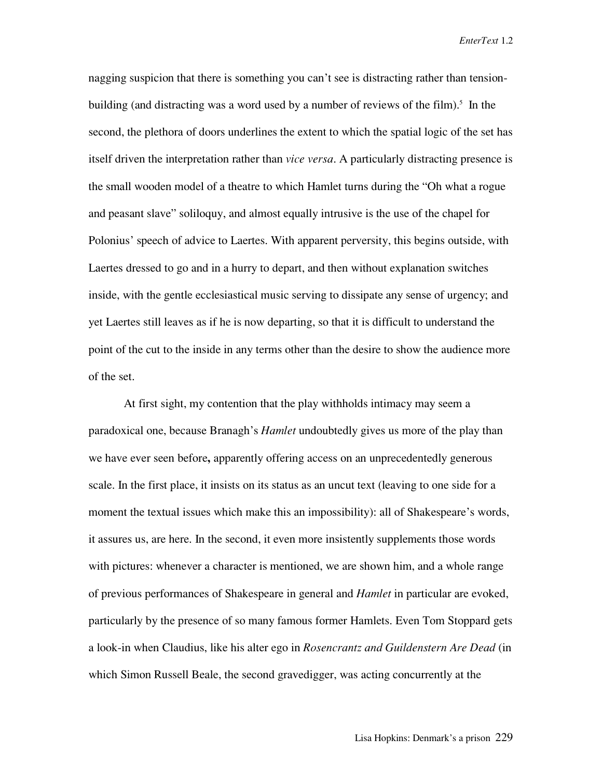nagging suspicion that there is something you can't see is distracting rather than tensionbuilding (and distracting was a word used by a number of reviews of the film).<sup>5</sup> In the second, the plethora of doors underlines the extent to which the spatial logic of the set has itself driven the interpretation rather than *vice versa*. A particularly distracting presence is the small wooden model of a theatre to which Hamlet turns during the "Oh what a rogue and peasant slave" soliloquy, and almost equally intrusive is the use of the chapel for Polonius' speech of advice to Laertes. With apparent perversity, this begins outside, with Laertes dressed to go and in a hurry to depart, and then without explanation switches inside, with the gentle ecclesiastical music serving to dissipate any sense of urgency; and yet Laertes still leaves as if he is now departing, so that it is difficult to understand the point of the cut to the inside in any terms other than the desire to show the audience more of the set.

At first sight, my contention that the play withholds intimacy may seem a paradoxical one, because Branagh's *Hamlet* undoubtedly gives us more of the play than we have ever seen before**,** apparently offering access on an unprecedentedly generous scale. In the first place, it insists on its status as an uncut text (leaving to one side for a moment the textual issues which make this an impossibility): all of Shakespeare's words, it assures us, are here. In the second, it even more insistently supplements those words with pictures: whenever a character is mentioned, we are shown him, and a whole range of previous performances of Shakespeare in general and *Hamlet* in particular are evoked, particularly by the presence of so many famous former Hamlets. Even Tom Stoppard gets a look-in when Claudius, like his alter ego in *Rosencrantz and Guildenstern Are Dead* (in which Simon Russell Beale, the second gravedigger, was acting concurrently at the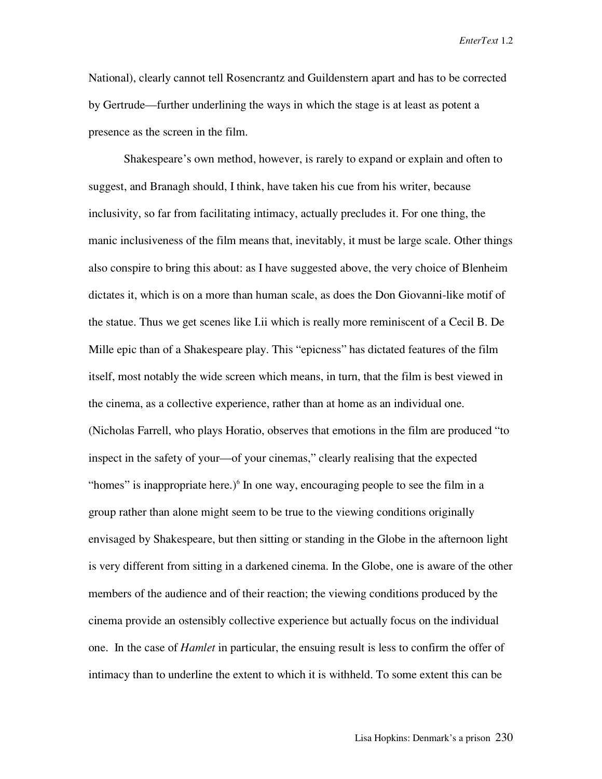National), clearly cannot tell Rosencrantz and Guildenstern apart and has to be corrected by Gertrude—further underlining the ways in which the stage is at least as potent a presence as the screen in the film.

Shakespeare's own method, however, is rarely to expand or explain and often to suggest, and Branagh should, I think, have taken his cue from his writer, because inclusivity, so far from facilitating intimacy, actually precludes it. For one thing, the manic inclusiveness of the film means that, inevitably, it must be large scale. Other things also conspire to bring this about: as I have suggested above, the very choice of Blenheim dictates it, which is on a more than human scale, as does the Don Giovanni-like motif of the statue. Thus we get scenes like I.ii which is really more reminiscent of a Cecil B. De Mille epic than of a Shakespeare play. This "epicness" has dictated features of the film itself, most notably the wide screen which means, in turn, that the film is best viewed in the cinema, as a collective experience, rather than at home as an individual one. (Nicholas Farrell, who plays Horatio, observes that emotions in the film are produced "to inspect in the safety of your—of your cinemas," clearly realising that the expected "homes" is inappropriate here.) $6$  In one way, encouraging people to see the film in a group rather than alone might seem to be true to the viewing conditions originally envisaged by Shakespeare, but then sitting or standing in the Globe in the afternoon light is very different from sitting in a darkened cinema. In the Globe, one is aware of the other members of the audience and of their reaction; the viewing conditions produced by the cinema provide an ostensibly collective experience but actually focus on the individual one. In the case of *Hamlet* in particular, the ensuing result is less to confirm the offer of intimacy than to underline the extent to which it is withheld. To some extent this can be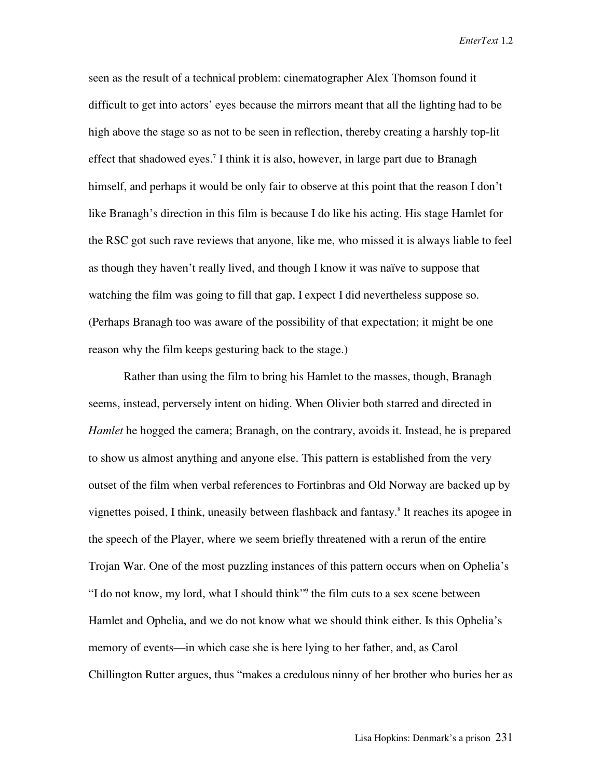seen as the result of a technical problem: cinematographer Alex Thomson found it difficult to get into actors' eyes because the mirrors meant that all the lighting had to be high above the stage so as not to be seen in reflection, thereby creating a harshly top-lit effect that shadowed eyes.<sup>7</sup> I think it is also, however, in large part due to Branagh himself, and perhaps it would be only fair to observe at this point that the reason I don't like Branagh's direction in this film is because I do like his acting. His stage Hamlet for the RSC got such rave reviews that anyone, like me, who missed it is always liable to feel as though they haven't really lived, and though I know it was naïve to suppose that watching the film was going to fill that gap, I expect I did nevertheless suppose so. (Perhaps Branagh too was aware of the possibility of that expectation; it might be one reason why the film keeps gesturing back to the stage.)

Rather than using the film to bring his Hamlet to the masses, though, Branagh seems, instead, perversely intent on hiding. When Olivier both starred and directed in *Hamlet* he hogged the camera; Branagh, on the contrary, avoids it. Instead, he is prepared to show us almost anything and anyone else. This pattern is established from the very outset of the film when verbal references to Fortinbras and Old Norway are backed up by vignettes poised, I think, uneasily between flashback and fantasy.<sup>8</sup> It reaches its apogee in the speech of the Player, where we seem briefly threatened with a rerun of the entire Trojan War. One of the most puzzling instances of this pattern occurs when on Ophelia's "I do not know, my lord, what I should think"9 the film cuts to a sex scene between Hamlet and Ophelia, and we do not know what we should think either. Is this Ophelia's memory of events—in which case she is here lying to her father, and, as Carol Chillington Rutter argues, thus "makes a credulous ninny of her brother who buries her as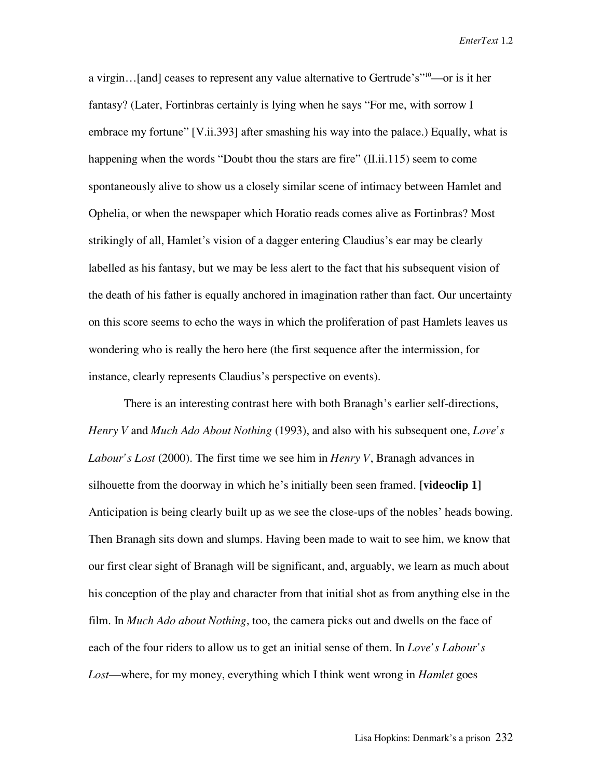a virgin…[and] ceases to represent any value alternative to Gertrude's"10—or is it her fantasy? (Later, Fortinbras certainly is lying when he says "For me, with sorrow I embrace my fortune" [V.ii.393] after smashing his way into the palace.) Equally, what is happening when the words "Doubt thou the stars are fire" (II.ii.115) seem to come spontaneously alive to show us a closely similar scene of intimacy between Hamlet and Ophelia, or when the newspaper which Horatio reads comes alive as Fortinbras? Most strikingly of all, Hamlet's vision of a dagger entering Claudius's ear may be clearly labelled as his fantasy, but we may be less alert to the fact that his subsequent vision of the death of his father is equally anchored in imagination rather than fact. Our uncertainty on this score seems to echo the ways in which the proliferation of past Hamlets leaves us wondering who is really the hero here (the first sequence after the intermission, for instance, clearly represents Claudius's perspective on events).

There is an interesting contrast here with both Branagh's earlier self-directions, *Henry V* and *Much Ado About Nothing* (1993), and also with his subsequent one, *Love's Labour's Lost* (2000). The first time we see him in *Henry V*, Branagh advances in silhouette from the doorway in which he's initially been seen framed. **[videoclip 1]** Anticipation is being clearly built up as we see the close-ups of the nobles' heads bowing. Then Branagh sits down and slumps. Having been made to wait to see him, we know that our first clear sight of Branagh will be significant, and, arguably, we learn as much about his conception of the play and character from that initial shot as from anything else in the film. In *Much Ado about Nothing*, too, the camera picks out and dwells on the face of each of the four riders to allow us to get an initial sense of them. In *Love's Labour's Lost*—where, for my money, everything which I think went wrong in *Hamlet* goes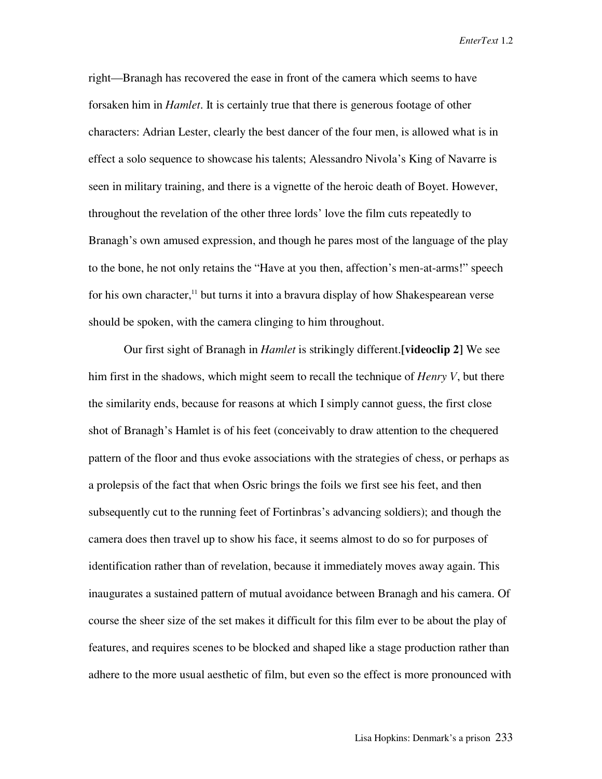right—Branagh has recovered the ease in front of the camera which seems to have forsaken him in *Hamlet*. It is certainly true that there is generous footage of other characters: Adrian Lester, clearly the best dancer of the four men, is allowed what is in effect a solo sequence to showcase his talents; Alessandro Nivola's King of Navarre is seen in military training, and there is a vignette of the heroic death of Boyet. However, throughout the revelation of the other three lords' love the film cuts repeatedly to Branagh's own amused expression, and though he pares most of the language of the play to the bone, he not only retains the "Have at you then, affection's men-at-arms!" speech for his own character, $<sup>11</sup>$  but turns it into a bravura display of how Shakespearean verse</sup> should be spoken, with the camera clinging to him throughout.

Our first sight of Branagh in *Hamlet* is strikingly different.**[videoclip 2]** We see him first in the shadows, which might seem to recall the technique of *Henry V*, but there the similarity ends, because for reasons at which I simply cannot guess, the first close shot of Branagh's Hamlet is of his feet (conceivably to draw attention to the chequered pattern of the floor and thus evoke associations with the strategies of chess, or perhaps as a prolepsis of the fact that when Osric brings the foils we first see his feet, and then subsequently cut to the running feet of Fortinbras's advancing soldiers); and though the camera does then travel up to show his face, it seems almost to do so for purposes of identification rather than of revelation, because it immediately moves away again. This inaugurates a sustained pattern of mutual avoidance between Branagh and his camera. Of course the sheer size of the set makes it difficult for this film ever to be about the play of features, and requires scenes to be blocked and shaped like a stage production rather than adhere to the more usual aesthetic of film, but even so the effect is more pronounced with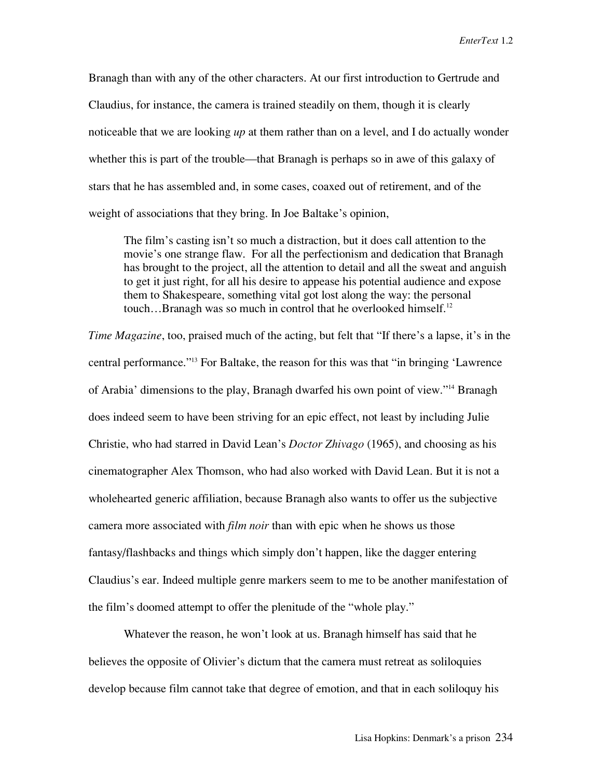Branagh than with any of the other characters. At our first introduction to Gertrude and Claudius, for instance, the camera is trained steadily on them, though it is clearly noticeable that we are looking *up* at them rather than on a level, and I do actually wonder whether this is part of the trouble—that Branagh is perhaps so in awe of this galaxy of stars that he has assembled and, in some cases, coaxed out of retirement, and of the weight of associations that they bring. In Joe Baltake's opinion,

The film's casting isn't so much a distraction, but it does call attention to the movie's one strange flaw. For all the perfectionism and dedication that Branagh has brought to the project, all the attention to detail and all the sweat and anguish to get it just right, for all his desire to appease his potential audience and expose them to Shakespeare, something vital got lost along the way: the personal touch...Branagh was so much in control that he overlooked himself.<sup>12</sup>

*Time Magazine*, too, praised much of the acting, but felt that "If there's a lapse, it's in the central performance."13 For Baltake, the reason for this was that "in bringing 'Lawrence of Arabia' dimensions to the play, Branagh dwarfed his own point of view."14 Branagh does indeed seem to have been striving for an epic effect, not least by including Julie Christie, who had starred in David Lean's *Doctor Zhivago* (1965), and choosing as his cinematographer Alex Thomson, who had also worked with David Lean. But it is not a wholehearted generic affiliation, because Branagh also wants to offer us the subjective camera more associated with *film noir* than with epic when he shows us those fantasy/flashbacks and things which simply don't happen, like the dagger entering Claudius's ear. Indeed multiple genre markers seem to me to be another manifestation of the film's doomed attempt to offer the plenitude of the "whole play."

Whatever the reason, he won't look at us. Branagh himself has said that he believes the opposite of Olivier's dictum that the camera must retreat as soliloquies develop because film cannot take that degree of emotion, and that in each soliloquy his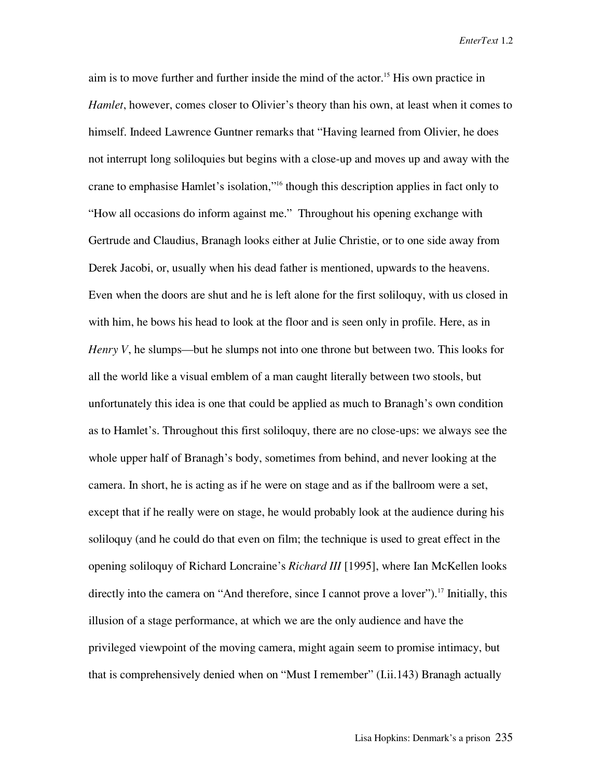aim is to move further and further inside the mind of the actor.15 His own practice in *Hamlet*, however, comes closer to Olivier's theory than his own, at least when it comes to himself. Indeed Lawrence Guntner remarks that "Having learned from Olivier, he does not interrupt long soliloquies but begins with a close-up and moves up and away with the crane to emphasise Hamlet's isolation,"16 though this description applies in fact only to "How all occasions do inform against me." Throughout his opening exchange with Gertrude and Claudius, Branagh looks either at Julie Christie, or to one side away from Derek Jacobi, or, usually when his dead father is mentioned, upwards to the heavens. Even when the doors are shut and he is left alone for the first soliloquy, with us closed in with him, he bows his head to look at the floor and is seen only in profile. Here, as in *Henry V*, he slumps—but he slumps not into one throne but between two. This looks for all the world like a visual emblem of a man caught literally between two stools, but unfortunately this idea is one that could be applied as much to Branagh's own condition as to Hamlet's. Throughout this first soliloquy, there are no close-ups: we always see the whole upper half of Branagh's body, sometimes from behind, and never looking at the camera. In short, he is acting as if he were on stage and as if the ballroom were a set, except that if he really were on stage, he would probably look at the audience during his soliloquy (and he could do that even on film; the technique is used to great effect in the opening soliloquy of Richard Loncraine's *Richard III* [1995], where Ian McKellen looks directly into the camera on "And therefore, since I cannot prove a lover").<sup>17</sup> Initially, this illusion of a stage performance, at which we are the only audience and have the privileged viewpoint of the moving camera, might again seem to promise intimacy, but that is comprehensively denied when on "Must I remember" (I.ii.143) Branagh actually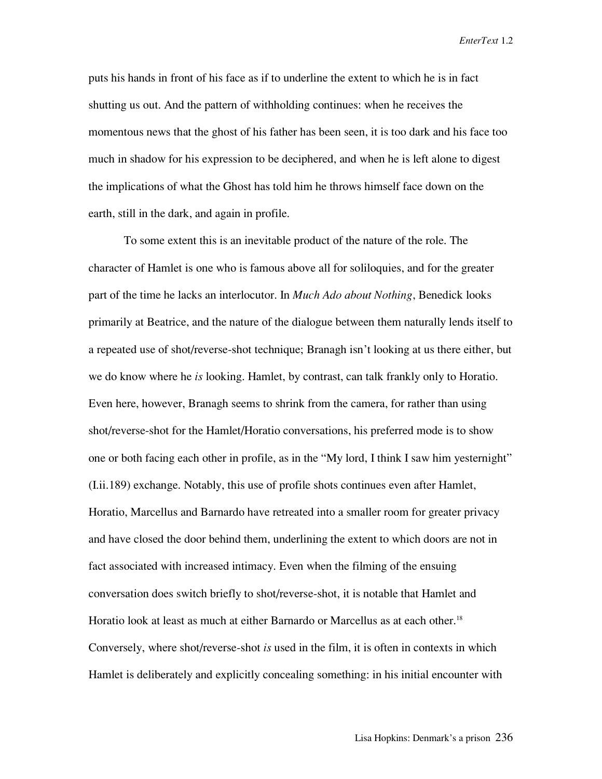puts his hands in front of his face as if to underline the extent to which he is in fact shutting us out. And the pattern of withholding continues: when he receives the momentous news that the ghost of his father has been seen, it is too dark and his face too much in shadow for his expression to be deciphered, and when he is left alone to digest the implications of what the Ghost has told him he throws himself face down on the earth, still in the dark, and again in profile.

To some extent this is an inevitable product of the nature of the role. The character of Hamlet is one who is famous above all for soliloquies, and for the greater part of the time he lacks an interlocutor. In *Much Ado about Nothing*, Benedick looks primarily at Beatrice, and the nature of the dialogue between them naturally lends itself to a repeated use of shot/reverse-shot technique; Branagh isn't looking at us there either, but we do know where he *is* looking. Hamlet, by contrast, can talk frankly only to Horatio. Even here, however, Branagh seems to shrink from the camera, for rather than using shot/reverse-shot for the Hamlet/Horatio conversations, his preferred mode is to show one or both facing each other in profile, as in the "My lord, I think I saw him yesternight" (I.ii.189) exchange. Notably, this use of profile shots continues even after Hamlet, Horatio, Marcellus and Barnardo have retreated into a smaller room for greater privacy and have closed the door behind them, underlining the extent to which doors are not in fact associated with increased intimacy. Even when the filming of the ensuing conversation does switch briefly to shot/reverse-shot, it is notable that Hamlet and Horatio look at least as much at either Barnardo or Marcellus as at each other.<sup>18</sup> Conversely, where shot/reverse-shot *is* used in the film, it is often in contexts in which Hamlet is deliberately and explicitly concealing something: in his initial encounter with

Lisa Hopkins: Denmark's a prison 236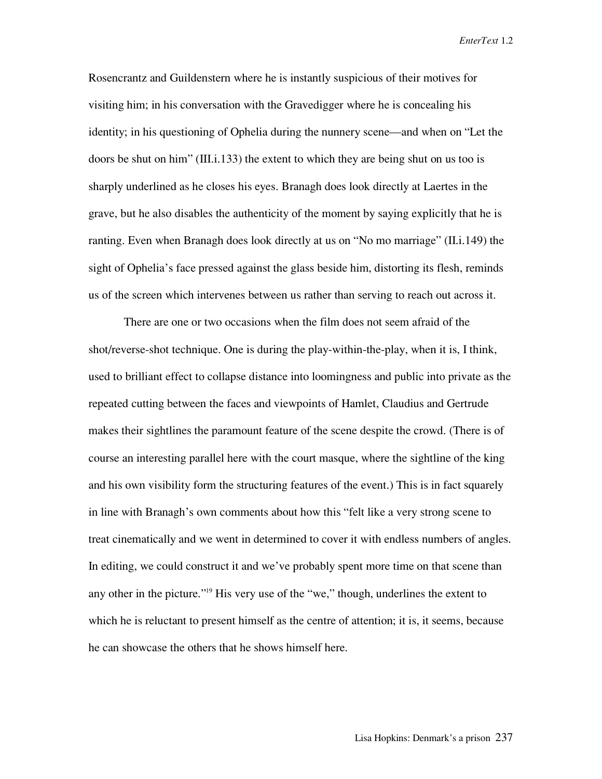Rosencrantz and Guildenstern where he is instantly suspicious of their motives for visiting him; in his conversation with the Gravedigger where he is concealing his identity; in his questioning of Ophelia during the nunnery scene—and when on "Let the doors be shut on him" (III.i.133) the extent to which they are being shut on us too is sharply underlined as he closes his eyes. Branagh does look directly at Laertes in the grave, but he also disables the authenticity of the moment by saying explicitly that he is ranting. Even when Branagh does look directly at us on "No mo marriage" (II.i.149) the sight of Ophelia's face pressed against the glass beside him, distorting its flesh, reminds us of the screen which intervenes between us rather than serving to reach out across it.

There are one or two occasions when the film does not seem afraid of the shot/reverse-shot technique. One is during the play-within-the-play, when it is, I think, used to brilliant effect to collapse distance into loomingness and public into private as the repeated cutting between the faces and viewpoints of Hamlet, Claudius and Gertrude makes their sightlines the paramount feature of the scene despite the crowd. (There is of course an interesting parallel here with the court masque, where the sightline of the king and his own visibility form the structuring features of the event.) This is in fact squarely in line with Branagh's own comments about how this "felt like a very strong scene to treat cinematically and we went in determined to cover it with endless numbers of angles. In editing, we could construct it and we've probably spent more time on that scene than any other in the picture."<sup>19</sup> His very use of the "we," though, underlines the extent to which he is reluctant to present himself as the centre of attention; it is, it seems, because he can showcase the others that he shows himself here.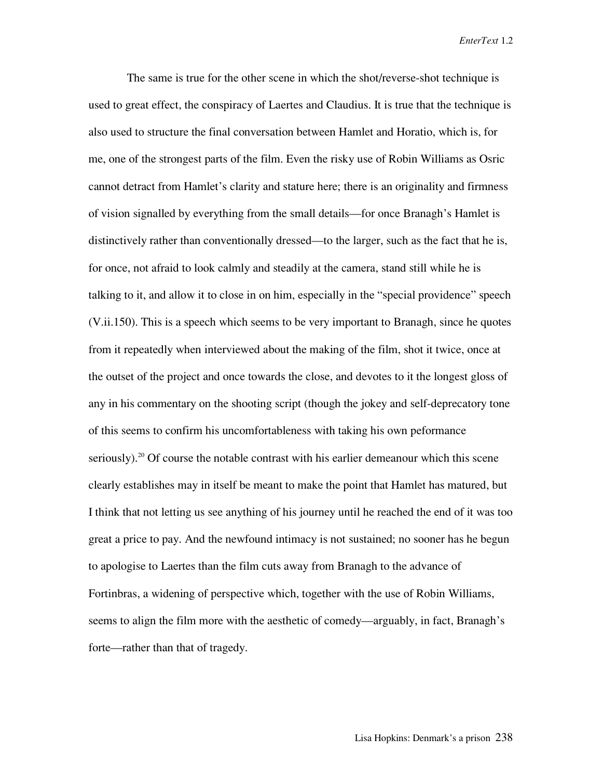The same is true for the other scene in which the shot/reverse-shot technique is used to great effect, the conspiracy of Laertes and Claudius. It is true that the technique is also used to structure the final conversation between Hamlet and Horatio, which is, for me, one of the strongest parts of the film. Even the risky use of Robin Williams as Osric cannot detract from Hamlet's clarity and stature here; there is an originality and firmness of vision signalled by everything from the small details—for once Branagh's Hamlet is distinctively rather than conventionally dressed—to the larger, such as the fact that he is, for once, not afraid to look calmly and steadily at the camera, stand still while he is talking to it, and allow it to close in on him, especially in the "special providence" speech (V.ii.150). This is a speech which seems to be very important to Branagh, since he quotes from it repeatedly when interviewed about the making of the film, shot it twice, once at the outset of the project and once towards the close, and devotes to it the longest gloss of any in his commentary on the shooting script (though the jokey and self-deprecatory tone of this seems to confirm his uncomfortableness with taking his own peformance seriously).<sup>20</sup> Of course the notable contrast with his earlier demeanour which this scene clearly establishes may in itself be meant to make the point that Hamlet has matured, but I think that not letting us see anything of his journey until he reached the end of it was too great a price to pay. And the newfound intimacy is not sustained; no sooner has he begun to apologise to Laertes than the film cuts away from Branagh to the advance of Fortinbras, a widening of perspective which, together with the use of Robin Williams, seems to align the film more with the aesthetic of comedy—arguably, in fact, Branagh's forte—rather than that of tragedy.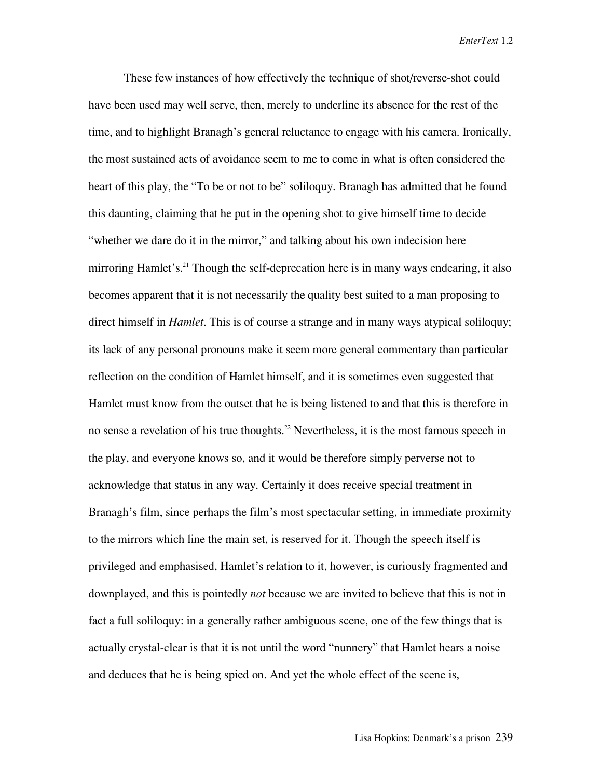These few instances of how effectively the technique of shot/reverse-shot could have been used may well serve, then, merely to underline its absence for the rest of the time, and to highlight Branagh's general reluctance to engage with his camera. Ironically, the most sustained acts of avoidance seem to me to come in what is often considered the heart of this play, the "To be or not to be" soliloquy. Branagh has admitted that he found this daunting, claiming that he put in the opening shot to give himself time to decide "whether we dare do it in the mirror," and talking about his own indecision here mirroring Hamlet's.<sup>21</sup> Though the self-deprecation here is in many ways endearing, it also becomes apparent that it is not necessarily the quality best suited to a man proposing to direct himself in *Hamlet*. This is of course a strange and in many ways atypical soliloquy; its lack of any personal pronouns make it seem more general commentary than particular reflection on the condition of Hamlet himself, and it is sometimes even suggested that Hamlet must know from the outset that he is being listened to and that this is therefore in no sense a revelation of his true thoughts.<sup>22</sup> Nevertheless, it is the most famous speech in the play, and everyone knows so, and it would be therefore simply perverse not to acknowledge that status in any way. Certainly it does receive special treatment in Branagh's film, since perhaps the film's most spectacular setting, in immediate proximity to the mirrors which line the main set, is reserved for it. Though the speech itself is privileged and emphasised, Hamlet's relation to it, however, is curiously fragmented and downplayed, and this is pointedly *not* because we are invited to believe that this is not in fact a full soliloquy: in a generally rather ambiguous scene, one of the few things that is actually crystal-clear is that it is not until the word "nunnery" that Hamlet hears a noise and deduces that he is being spied on. And yet the whole effect of the scene is,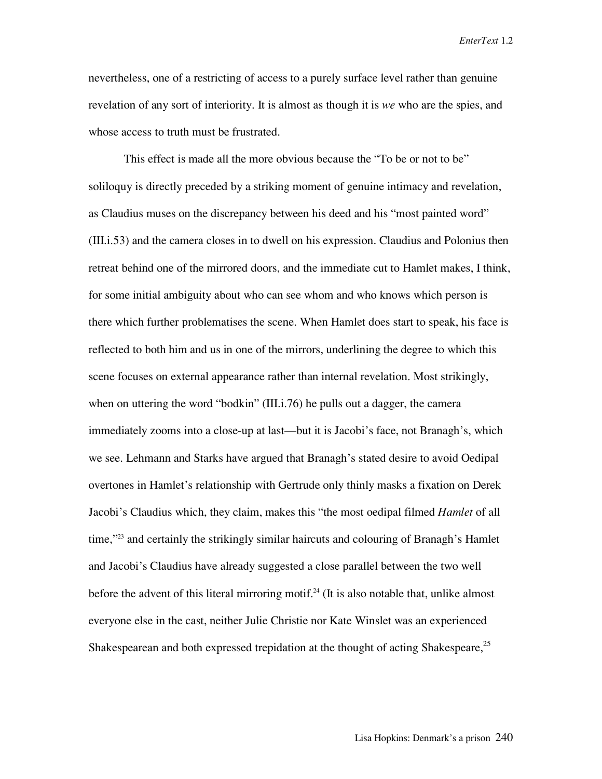nevertheless, one of a restricting of access to a purely surface level rather than genuine revelation of any sort of interiority. It is almost as though it is *we* who are the spies, and whose access to truth must be frustrated.

This effect is made all the more obvious because the "To be or not to be" soliloquy is directly preceded by a striking moment of genuine intimacy and revelation, as Claudius muses on the discrepancy between his deed and his "most painted word" (III.i.53) and the camera closes in to dwell on his expression. Claudius and Polonius then retreat behind one of the mirrored doors, and the immediate cut to Hamlet makes, I think, for some initial ambiguity about who can see whom and who knows which person is there which further problematises the scene. When Hamlet does start to speak, his face is reflected to both him and us in one of the mirrors, underlining the degree to which this scene focuses on external appearance rather than internal revelation. Most strikingly, when on uttering the word "bodkin" (III.i.76) he pulls out a dagger, the camera immediately zooms into a close-up at last—but it is Jacobi's face, not Branagh's, which we see. Lehmann and Starks have argued that Branagh's stated desire to avoid Oedipal overtones in Hamlet's relationship with Gertrude only thinly masks a fixation on Derek Jacobi's Claudius which, they claim, makes this "the most oedipal filmed *Hamlet* of all time,"<sup>23</sup> and certainly the strikingly similar haircuts and colouring of Branagh's Hamlet and Jacobi's Claudius have already suggested a close parallel between the two well before the advent of this literal mirroring motif.<sup>24</sup> (It is also notable that, unlike almost everyone else in the cast, neither Julie Christie nor Kate Winslet was an experienced Shakespearean and both expressed trepidation at the thought of acting Shakespeare,  $^{25}$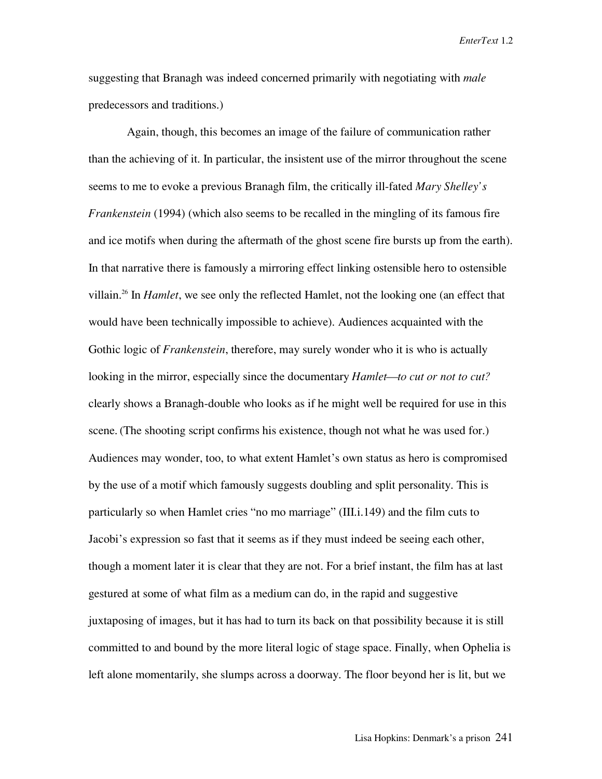suggesting that Branagh was indeed concerned primarily with negotiating with *male* predecessors and traditions.)

 Again, though, this becomes an image of the failure of communication rather than the achieving of it. In particular, the insistent use of the mirror throughout the scene seems to me to evoke a previous Branagh film, the critically ill-fated *Mary Shelley's Frankenstein* (1994) (which also seems to be recalled in the mingling of its famous fire and ice motifs when during the aftermath of the ghost scene fire bursts up from the earth). In that narrative there is famously a mirroring effect linking ostensible hero to ostensible villain.26 In *Hamlet*, we see only the reflected Hamlet, not the looking one (an effect that would have been technically impossible to achieve). Audiences acquainted with the Gothic logic of *Frankenstein*, therefore, may surely wonder who it is who is actually looking in the mirror, especially since the documentary *Hamlet—to cut or not to cut?* clearly shows a Branagh-double who looks as if he might well be required for use in this scene. (The shooting script confirms his existence, though not what he was used for.) Audiences may wonder, too, to what extent Hamlet's own status as hero is compromised by the use of a motif which famously suggests doubling and split personality. This is particularly so when Hamlet cries "no mo marriage" (III.i.149) and the film cuts to Jacobi's expression so fast that it seems as if they must indeed be seeing each other, though a moment later it is clear that they are not. For a brief instant, the film has at last gestured at some of what film as a medium can do, in the rapid and suggestive juxtaposing of images, but it has had to turn its back on that possibility because it is still committed to and bound by the more literal logic of stage space. Finally, when Ophelia is left alone momentarily, she slumps across a doorway. The floor beyond her is lit, but we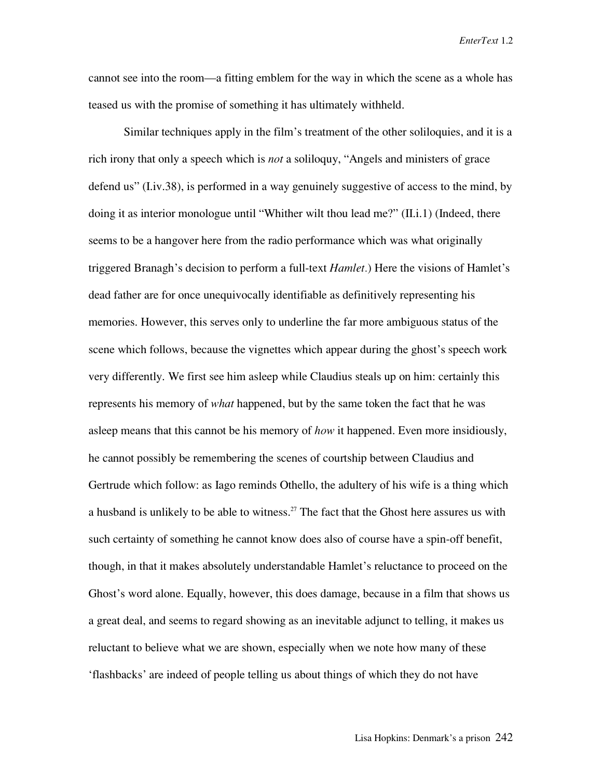cannot see into the room—a fitting emblem for the way in which the scene as a whole has teased us with the promise of something it has ultimately withheld.

Similar techniques apply in the film's treatment of the other soliloquies, and it is a rich irony that only a speech which is *not* a soliloquy, "Angels and ministers of grace defend us" (I.iv.38), is performed in a way genuinely suggestive of access to the mind, by doing it as interior monologue until "Whither wilt thou lead me?" (II.i.1) (Indeed, there seems to be a hangover here from the radio performance which was what originally triggered Branagh's decision to perform a full-text *Hamlet.*) Here the visions of Hamlet's dead father are for once unequivocally identifiable as definitively representing his memories. However, this serves only to underline the far more ambiguous status of the scene which follows, because the vignettes which appear during the ghost's speech work very differently. We first see him asleep while Claudius steals up on him: certainly this represents his memory of *what* happened, but by the same token the fact that he was asleep means that this cannot be his memory of *how* it happened. Even more insidiously, he cannot possibly be remembering the scenes of courtship between Claudius and Gertrude which follow: as Iago reminds Othello, the adultery of his wife is a thing which a husband is unlikely to be able to witness.<sup>27</sup> The fact that the Ghost here assures us with such certainty of something he cannot know does also of course have a spin-off benefit, though, in that it makes absolutely understandable Hamlet's reluctance to proceed on the Ghost's word alone. Equally, however, this does damage, because in a film that shows us a great deal, and seems to regard showing as an inevitable adjunct to telling, it makes us reluctant to believe what we are shown, especially when we note how many of these 'flashbacks' are indeed of people telling us about things of which they do not have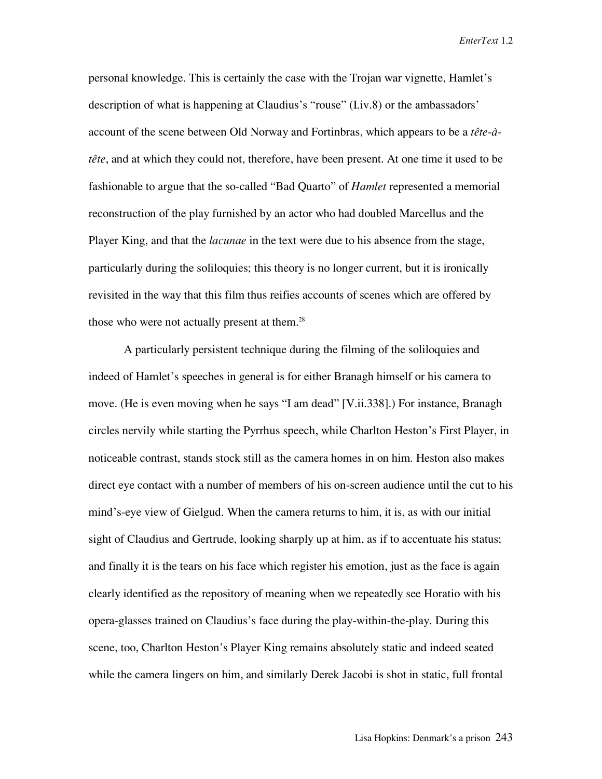personal knowledge. This is certainly the case with the Trojan war vignette, Hamlet's description of what is happening at Claudius's "rouse" (I.iv.8) or the ambassadors' account of the scene between Old Norway and Fortinbras, which appears to be a *tête-àtête*, and at which they could not, therefore, have been present. At one time it used to be fashionable to argue that the so-called "Bad Quarto" of *Hamlet* represented a memorial reconstruction of the play furnished by an actor who had doubled Marcellus and the Player King, and that the *lacunae* in the text were due to his absence from the stage, particularly during the soliloquies; this theory is no longer current, but it is ironically revisited in the way that this film thus reifies accounts of scenes which are offered by those who were not actually present at them.<sup>28</sup>

A particularly persistent technique during the filming of the soliloquies and indeed of Hamlet's speeches in general is for either Branagh himself or his camera to move. (He is even moving when he says "I am dead" [V.ii.338].) For instance, Branagh circles nervily while starting the Pyrrhus speech, while Charlton Heston's First Player, in noticeable contrast, stands stock still as the camera homes in on him. Heston also makes direct eye contact with a number of members of his on-screen audience until the cut to his mind's-eye view of Gielgud. When the camera returns to him, it is, as with our initial sight of Claudius and Gertrude, looking sharply up at him, as if to accentuate his status; and finally it is the tears on his face which register his emotion, just as the face is again clearly identified as the repository of meaning when we repeatedly see Horatio with his opera-glasses trained on Claudius's face during the play-within-the-play. During this scene, too, Charlton Heston's Player King remains absolutely static and indeed seated while the camera lingers on him, and similarly Derek Jacobi is shot in static, full frontal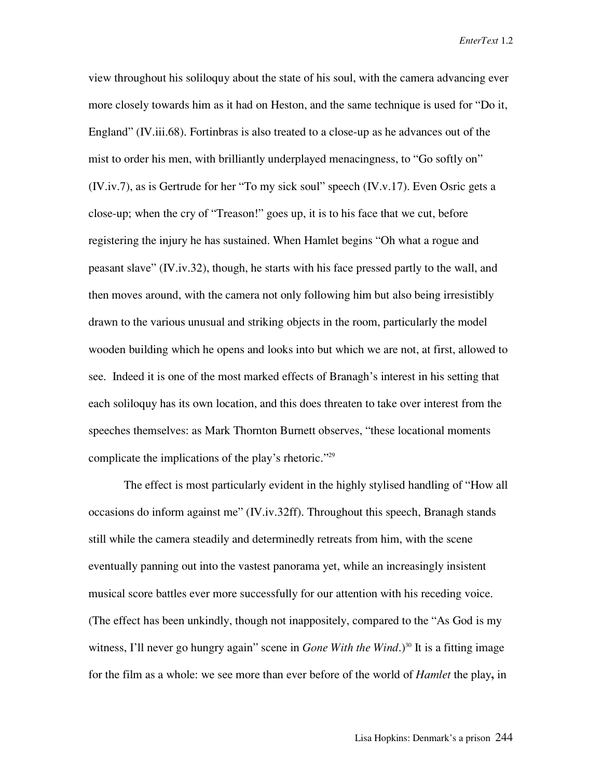view throughout his soliloquy about the state of his soul, with the camera advancing ever more closely towards him as it had on Heston, and the same technique is used for "Do it, England" (IV.iii.68). Fortinbras is also treated to a close-up as he advances out of the mist to order his men, with brilliantly underplayed menacingness, to "Go softly on" (IV.iv.7), as is Gertrude for her "To my sick soul" speech (IV.v.17). Even Osric gets a close-up; when the cry of "Treason!" goes up, it is to his face that we cut, before registering the injury he has sustained. When Hamlet begins "Oh what a rogue and peasant slave" (IV.iv.32), though, he starts with his face pressed partly to the wall, and then moves around, with the camera not only following him but also being irresistibly drawn to the various unusual and striking objects in the room, particularly the model wooden building which he opens and looks into but which we are not, at first, allowed to see. Indeed it is one of the most marked effects of Branagh's interest in his setting that each soliloquy has its own location, and this does threaten to take over interest from the speeches themselves: as Mark Thornton Burnett observes, "these locational moments complicate the implications of the play's rhetoric."29

The effect is most particularly evident in the highly stylised handling of "How all occasions do inform against me" (IV.iv.32ff). Throughout this speech, Branagh stands still while the camera steadily and determinedly retreats from him, with the scene eventually panning out into the vastest panorama yet, while an increasingly insistent musical score battles ever more successfully for our attention with his receding voice. (The effect has been unkindly, though not inappositely, compared to the "As God is my witness, I'll never go hungry again" scene in *Gone With the Wind*.)<sup>30</sup> It is a fitting image for the film as a whole: we see more than ever before of the world of *Hamlet* the play**,** in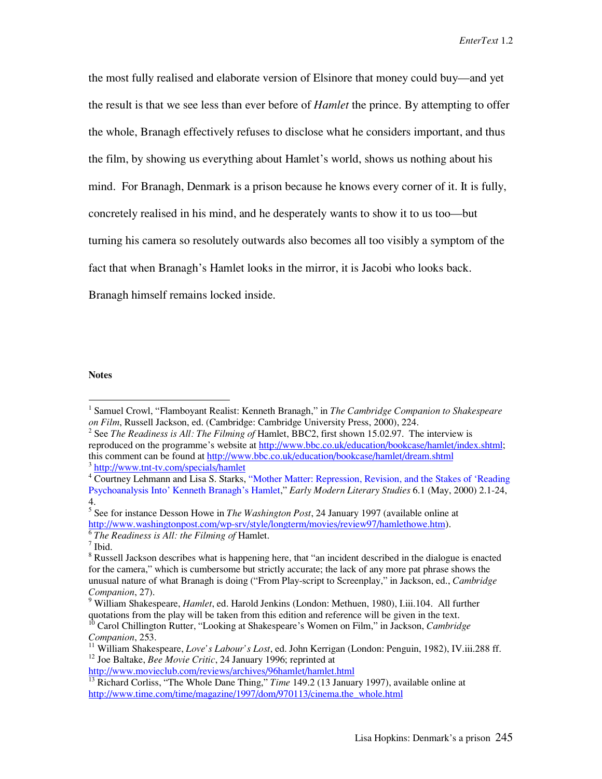the most fully realised and elaborate version of Elsinore that money could buy—and yet the result is that we see less than ever before of *Hamlet* the prince. By attempting to offer the whole, Branagh effectively refuses to disclose what he considers important, and thus the film, by showing us everything about Hamlet's world, shows us nothing about his mind. For Branagh, Denmark is a prison because he knows every corner of it. It is fully, concretely realised in his mind, and he desperately wants to show it to us too—but turning his camera so resolutely outwards also becomes all too visibly a symptom of the fact that when Branagh's Hamlet looks in the mirror, it is Jacobi who looks back. Branagh himself remains locked inside.

## **Notes**

 $\overline{a}$ 

http://www.movieclub.com/reviews/archives/96hamlet/hamlet.html

<sup>&</sup>lt;sup>1</sup> Samuel Crowl, "Flamboyant Realist: Kenneth Branagh," in *The Cambridge Companion to Shakespeare on Film*, Russell Jackson, ed. (Cambridge: Cambridge University Press, 2000), 224. <sup>2</sup>

<sup>&</sup>lt;sup>2</sup> See *The Readiness is All: The Filming of* Hamlet, BBC2, first shown 15.02.97. The interview is reproduced on the programme's website at http://www.bbc.co.uk/education/bookcase/hamlet/index.shtml; this comment can be found at http://www.bbc.co.uk/education/bookcase/hamlet/dream.shtml <sup>3</sup> http://www.tnt-tv.com/specials/hamlet

<sup>&</sup>lt;sup>4</sup> Courtney Lehmann and Lisa S. Starks, "Mother Matter: Repression, Revision, and the Stakes of 'Reading Psychoanalysis Into' Kenneth Branagh's Hamlet," *Early Modern Literary Studies* 6.1 (May, 2000) 2.1-24, 4.

<sup>5</sup> See for instance Desson Howe in *The Washington Post*, 24 January 1997 (available online at http://www.washingtonpost.com/wp-srv/style/longterm/movies/review97/hamlethowe.htm).

 $^6$  The Readiness is All: the Filming of Hamlet.<sup>7</sup> Ibid.

<sup>&</sup>lt;sup>8</sup> Russell Jackson describes what is happening here, that "an incident described in the dialogue is enacted for the camera," which is cumbersome but strictly accurate; the lack of any more pat phrase shows the unusual nature of what Branagh is doing ("From Play-script to Screenplay," in Jackson, ed., *Cambridge Companion*, 27).

<sup>9</sup> William Shakespeare, *Hamlet*, ed. Harold Jenkins (London: Methuen, 1980), I.iii.104. All further

quotations from the play will be taken from this edition and reference will be given in the text. <sup>10</sup> Carol Chillington Rutter, "Looking at Shakespeare's Women on Film," in Jackson, *Cambridge Companion*, 253.

<sup>&</sup>lt;sup>11</sup> William Shakespeare, *Love's Labour's Lost*, ed. John Kerrigan (London: Penguin, 1982), IV.iii.288 ff. <sup>12</sup> Joe Baltake, *Bee Movie Critic*, 24 January 1996; reprinted at

<sup>&</sup>lt;sup>13</sup> Richard Corliss, "The Whole Dane Thing," *Time* 149.2 (13 January 1997), available online at http://www.time.com/time/magazine/1997/dom/970113/cinema.the\_whole.html